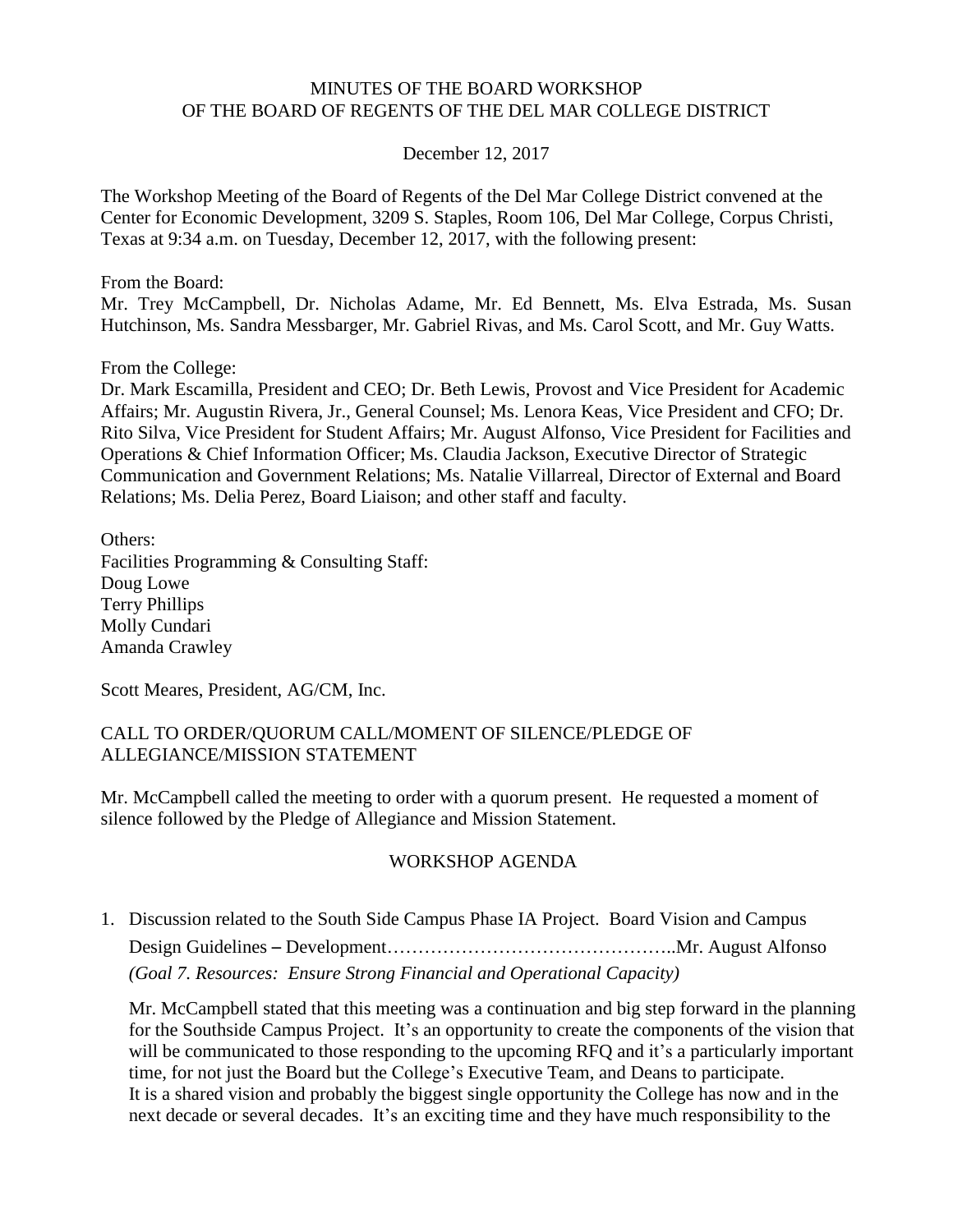## MINUTES OF THE BOARD WORKSHOP OF THE BOARD OF REGENTS OF THE DEL MAR COLLEGE DISTRICT

### December 12, 2017

The Workshop Meeting of the Board of Regents of the Del Mar College District convened at the Center for Economic Development, 3209 S. Staples, Room 106, Del Mar College, Corpus Christi, Texas at 9:34 a.m. on Tuesday, December 12, 2017, with the following present:

#### From the Board:

Mr. Trey McCampbell, Dr. Nicholas Adame, Mr. Ed Bennett, Ms. Elva Estrada, Ms. Susan Hutchinson, Ms. Sandra Messbarger, Mr. Gabriel Rivas, and Ms. Carol Scott, and Mr. Guy Watts.

### From the College:

Dr. Mark Escamilla, President and CEO; Dr. Beth Lewis, Provost and Vice President for Academic Affairs; Mr. Augustin Rivera, Jr., General Counsel; Ms. Lenora Keas, Vice President and CFO; Dr. Rito Silva, Vice President for Student Affairs; Mr. August Alfonso, Vice President for Facilities and Operations & Chief Information Officer; Ms. Claudia Jackson, Executive Director of Strategic Communication and Government Relations; Ms. Natalie Villarreal, Director of External and Board Relations; Ms. Delia Perez, Board Liaison; and other staff and faculty.

Others: Facilities Programming & Consulting Staff: Doug Lowe Terry Phillips Molly Cundari Amanda Crawley

Scott Meares, President, AG/CM, Inc.

### CALL TO ORDER/QUORUM CALL/MOMENT OF SILENCE/PLEDGE OF ALLEGIANCE/MISSION STATEMENT

Mr. McCampbell called the meeting to order with a quorum present. He requested a moment of silence followed by the Pledge of Allegiance and Mission Statement.

### WORKSHOP AGENDA

1. Discussion related to the South Side Campus Phase IA Project. Board Vision and Campus Design Guidelines – Development………………………………………..Mr. August Alfonso *(Goal 7. Resources: Ensure Strong Financial and Operational Capacity)*

Mr. McCampbell stated that this meeting was a continuation and big step forward in the planning for the Southside Campus Project. It's an opportunity to create the components of the vision that will be communicated to those responding to the upcoming RFQ and it's a particularly important time, for not just the Board but the College's Executive Team, and Deans to participate. It is a shared vision and probably the biggest single opportunity the College has now and in the next decade or several decades. It's an exciting time and they have much responsibility to the